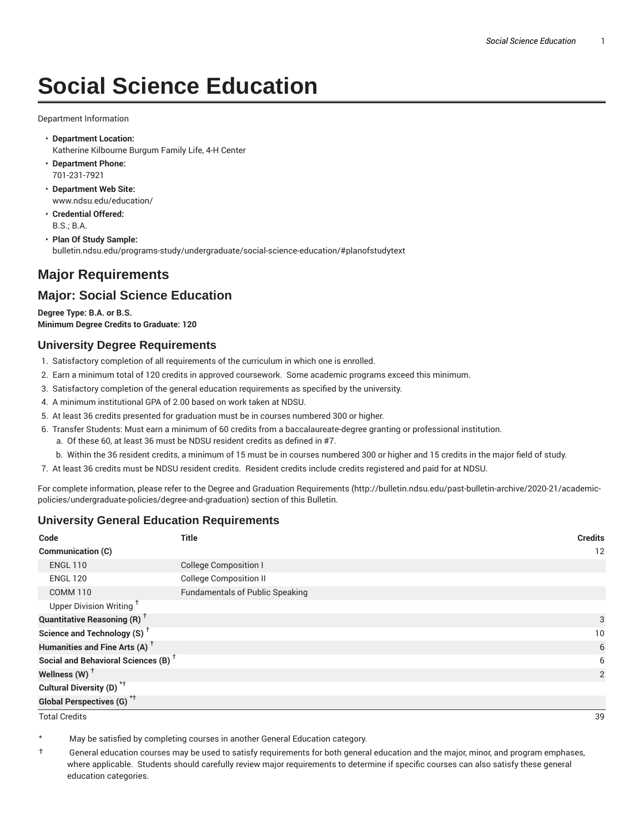# **Social Science Education**

Department Information

- **Department Location:** Katherine Kilbourne Burgum Family Life, 4-H Center
- **Department Phone:** 701-231-7921
- **Department Web Site:** www.ndsu.edu/education/
- **Credential Offered:** B.S.; B.A.
- **Plan Of Study Sample:** bulletin.ndsu.edu/programs-study/undergraduate/social-science-education/#planofstudytext

## **Major Requirements**

## **Major: Social Science Education**

**Degree Type: B.A. or B.S. Minimum Degree Credits to Graduate: 120**

#### **University Degree Requirements**

- 1. Satisfactory completion of all requirements of the curriculum in which one is enrolled.
- 2. Earn a minimum total of 120 credits in approved coursework. Some academic programs exceed this minimum.
- 3. Satisfactory completion of the general education requirements as specified by the university.
- 4. A minimum institutional GPA of 2.00 based on work taken at NDSU.
- 5. At least 36 credits presented for graduation must be in courses numbered 300 or higher.
- 6. Transfer Students: Must earn a minimum of 60 credits from a baccalaureate-degree granting or professional institution.
	- a. Of these 60, at least 36 must be NDSU resident credits as defined in #7.
	- b. Within the 36 resident credits, a minimum of 15 must be in courses numbered 300 or higher and 15 credits in the major field of study.
- 7. At least 36 credits must be NDSU resident credits. Resident credits include credits registered and paid for at NDSU.

For complete information, please refer to the Degree and Graduation Requirements (http://bulletin.ndsu.edu/past-bulletin-archive/2020-21/academicpolicies/undergraduate-policies/degree-and-graduation) section of this Bulletin.

#### **University General Education Requirements**

| Code                                            | <b>Title</b>                           | <b>Credits</b>  |
|-------------------------------------------------|----------------------------------------|-----------------|
| <b>Communication (C)</b>                        |                                        | 12              |
| <b>ENGL 110</b>                                 | <b>College Composition I</b>           |                 |
| <b>ENGL 120</b>                                 | <b>College Composition II</b>          |                 |
| <b>COMM 110</b>                                 | <b>Fundamentals of Public Speaking</b> |                 |
| Upper Division Writing <sup>+</sup>             |                                        |                 |
| <b>Quantitative Reasoning (R)</b> <sup>†</sup>  |                                        | 3               |
| Science and Technology (S) <sup>+</sup>         |                                        | 10 <sup>°</sup> |
| Humanities and Fine Arts (A) <sup>+</sup>       |                                        | 6               |
| Social and Behavioral Sciences (B) <sup>+</sup> |                                        | 6               |
| Wellness $(W)$ <sup>+</sup>                     |                                        | 2               |
| Cultural Diversity (D) <sup>*†</sup>            |                                        |                 |
| <b>Global Perspectives (G)<sup>*†</sup></b>     |                                        |                 |

Total Credits 39

May be satisfied by completing courses in another General Education category.

† General education courses may be used to satisfy requirements for both general education and the major, minor, and program emphases, where applicable. Students should carefully review major requirements to determine if specific courses can also satisfy these general education categories.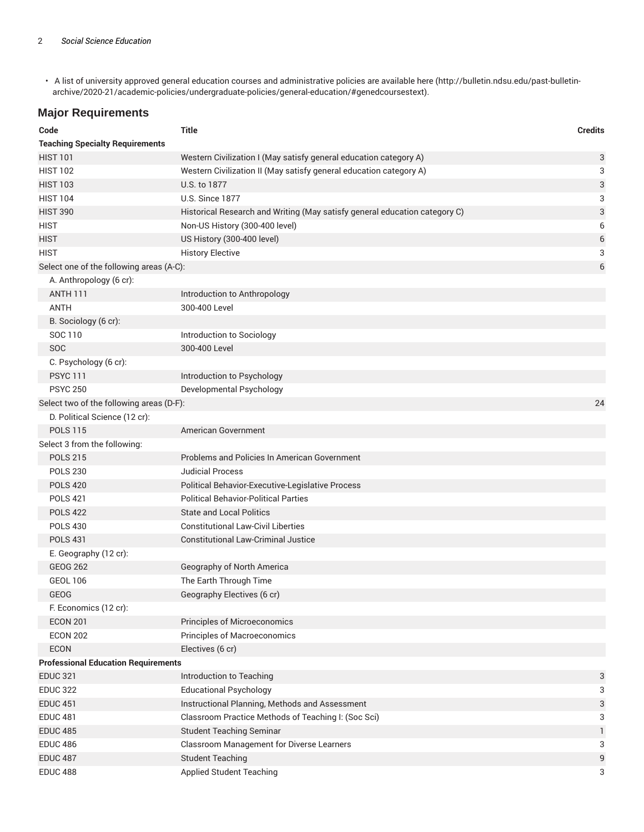• A list of university approved general education courses and administrative policies are available here (http://bulletin.ndsu.edu/past-bulletinarchive/2020-21/academic-policies/undergraduate-policies/general-education/#genedcoursestext).

## **Major Requirements**

| Code                                       | <b>Title</b>                                                               | <b>Credits</b> |
|--------------------------------------------|----------------------------------------------------------------------------|----------------|
| <b>Teaching Specialty Requirements</b>     |                                                                            |                |
| <b>HIST 101</b>                            | Western Civilization I (May satisfy general education category A)          | 3              |
| <b>HIST 102</b>                            | Western Civilization II (May satisfy general education category A)         | 3              |
| <b>HIST 103</b>                            | U.S. to 1877                                                               | 3              |
| <b>HIST 104</b>                            | <b>U.S. Since 1877</b>                                                     | 3              |
| <b>HIST 390</b>                            | Historical Research and Writing (May satisfy general education category C) | 3              |
| <b>HIST</b>                                | Non-US History (300-400 level)                                             | 6              |
| <b>HIST</b>                                | US History (300-400 level)                                                 | 6              |
| <b>HIST</b>                                | <b>History Elective</b>                                                    | 3              |
| Select one of the following areas (A-C):   |                                                                            | 6              |
| A. Anthropology (6 cr):                    |                                                                            |                |
| <b>ANTH 111</b>                            | Introduction to Anthropology                                               |                |
| <b>ANTH</b>                                | 300-400 Level                                                              |                |
| B. Sociology (6 cr):                       |                                                                            |                |
| SOC 110                                    | Introduction to Sociology                                                  |                |
| <b>SOC</b>                                 | 300-400 Level                                                              |                |
| C. Psychology (6 cr):                      |                                                                            |                |
| <b>PSYC 111</b>                            | Introduction to Psychology                                                 |                |
| <b>PSYC 250</b>                            | Developmental Psychology                                                   |                |
| Select two of the following areas (D-F):   |                                                                            | 24             |
| D. Political Science (12 cr):              |                                                                            |                |
| <b>POLS 115</b>                            | American Government                                                        |                |
| Select 3 from the following:               |                                                                            |                |
| <b>POLS 215</b>                            | Problems and Policies In American Government                               |                |
| <b>POLS 230</b>                            | <b>Judicial Process</b>                                                    |                |
| <b>POLS 420</b>                            | Political Behavior-Executive-Legislative Process                           |                |
| <b>POLS 421</b>                            | <b>Political Behavior-Political Parties</b>                                |                |
| <b>POLS 422</b>                            | <b>State and Local Politics</b>                                            |                |
| <b>POLS 430</b>                            | <b>Constitutional Law-Civil Liberties</b>                                  |                |
| <b>POLS 431</b>                            | <b>Constitutional Law-Criminal Justice</b>                                 |                |
| E. Geography (12 cr):                      |                                                                            |                |
| <b>GEOG 262</b>                            | Geography of North America                                                 |                |
| <b>GEOL 106</b>                            | The Earth Through Time                                                     |                |
| GEOG                                       | Geography Electives (6 cr)                                                 |                |
| F. Economics (12 cr):                      |                                                                            |                |
| <b>ECON 201</b>                            | <b>Principles of Microeconomics</b>                                        |                |
| <b>ECON 202</b>                            | Principles of Macroeconomics                                               |                |
| ECON                                       | Electives (6 cr)                                                           |                |
| <b>Professional Education Requirements</b> |                                                                            |                |
| <b>EDUC 321</b>                            | Introduction to Teaching                                                   | 3              |
| <b>EDUC 322</b>                            | <b>Educational Psychology</b>                                              | 3              |
| <b>EDUC 451</b>                            | Instructional Planning, Methods and Assessment                             | 3              |
| <b>EDUC 481</b>                            | Classroom Practice Methods of Teaching I: (Soc Sci)                        | 3              |
| <b>EDUC 485</b>                            | <b>Student Teaching Seminar</b>                                            | 1              |
| <b>EDUC 486</b>                            | Classroom Management for Diverse Learners                                  | 3              |
| <b>EDUC 487</b>                            | <b>Student Teaching</b>                                                    | 9              |
| <b>EDUC 488</b>                            | Applied Student Teaching                                                   | 3              |